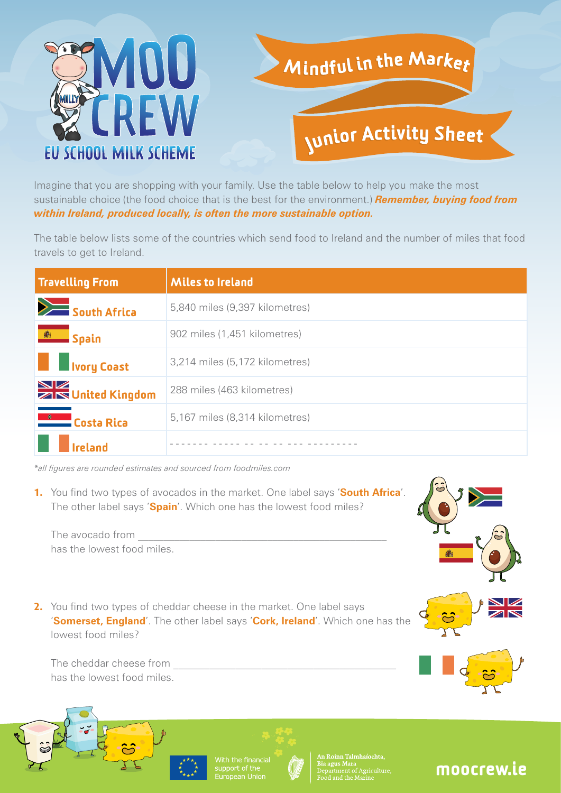

Imagine that you are shopping with your family. Use the table below to help you make the most sustainable choice (the food choice that is the best for the environment.) *Remember, buying food from within Ireland, produced locally, is often the more sustainable option.*

The table below lists some of the countries which send food to Ireland and the number of miles that food travels to get to Ireland.

| <b>Travelling From</b>                 | <b>Miles to Ireland</b>        |
|----------------------------------------|--------------------------------|
| South Africa                           | 5,840 miles (9,397 kilometres) |
| <b>EN Spain</b>                        | 902 miles (1,451 kilometres)   |
| <b>Norg</b> Coast                      | 3,214 miles (5,172 kilometres) |
| <b>NE</b><br><b>ZIN United Kingdom</b> | 288 miles (463 kilometres)     |
| <b>Costa Rica</b>                      | 5,167 miles (8,314 kilometres) |
|                                        |                                |

*\*all figures are rounded estimates and sourced from foodmiles.com*

**1.** You find two types of avocados in the market. One label says 'South Africa'. The other label says '**Spain**'. Which one has the lowest food miles?



**2.** You find two types of cheddar cheese in the market. One label says '**Somerset, England**'. The other label says '**Cork, Ireland**'. Which one has the lowest food miles?

The cheddar cheese from has the lowest food miles.





Roinn Talmhaíochta.

## moocrew.ie

The avocado from has the lowest food miles.